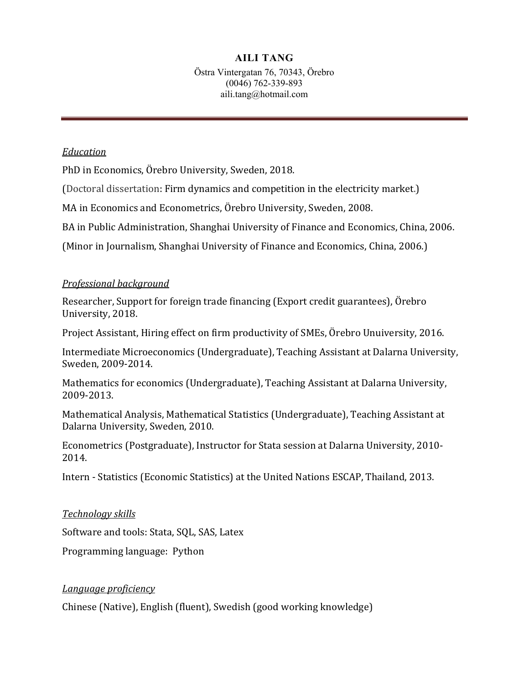# **AILI TANG**

Östra Vintergatan 76, 70343, Örebro (0046) 762-339-893 aili.tang@hotmail.com

### *Education*

PhD in Economics, Örebro University, Sweden, 2018.

(Doctoral dissertation: Firm dynamics and competition in the electricity market.)

MA in Economics and Econometrics, Örebro University, Sweden, 2008.

BA in Public Administration, Shanghai University of Finance and Economics, China, 2006.

(Minor in Journalism, Shanghai University of Finance and Economics, China, 2006.)

## *Professional background*

Researcher, Support for foreign trade financing (Export credit guarantees), Örebro University, 2018.

Project Assistant, Hiring effect on firm productivity of SMEs, Örebro Unuiversity, 2016.

Intermediate Microeconomics (Undergraduate), Teaching Assistant at Dalarna University, Sweden, 2009-2014.

Mathematics for economics (Undergraduate), Teaching Assistant at Dalarna University, 2009-2013.

Mathematical Analysis, Mathematical Statistics (Undergraduate), Teaching Assistant at Dalarna University, Sweden, 2010.

Econometrics (Postgraduate), Instructor for Stata session at Dalarna University, 2010- 2014.

Intern - Statistics (Economic Statistics) at the United Nations ESCAP, Thailand, 2013.

*Technology skills*

Software and tools: Stata, SQL, SAS, Latex

Programming language: Python

### *Language proficiency*

Chinese (Native), English (fluent), Swedish (good working knowledge)